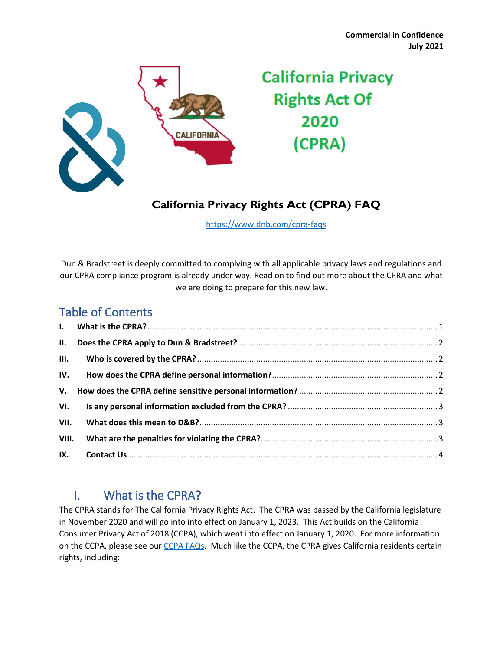

# **California Privacy Rights Act Of** 2020 (CPRA)

## **California Privacy Rights Act (CPRA) FAQ**

<https://www.dnb.com/cpra-faqs>

Dun & Bradstreet is deeply committed to complying with all applicable privacy laws and regulations and our CPRA compliance program is already under way. Read on to find out more about the CPRA and what we are doing to prepare for this new law.

## Table of Contents

| VI.   |  |
|-------|--|
| VII.  |  |
| VIII. |  |
|       |  |

## <span id="page-0-0"></span>I. What is the CPRA?

The CPRA stands for The California Privacy Rights Act. The CPRA was passed by the California legislature in November 2020 and will go into into effect on January 1, 2023. This Act builds on the California Consumer Privacy Act of 2018 (CCPA), which went into effect on January 1, 2020. For more information on the CCPA, please see our [CCPA FAQs.](https://www.dnb.com/ccpa-faqs) Much like the CCPA, the CPRA gives California residents certain rights, including: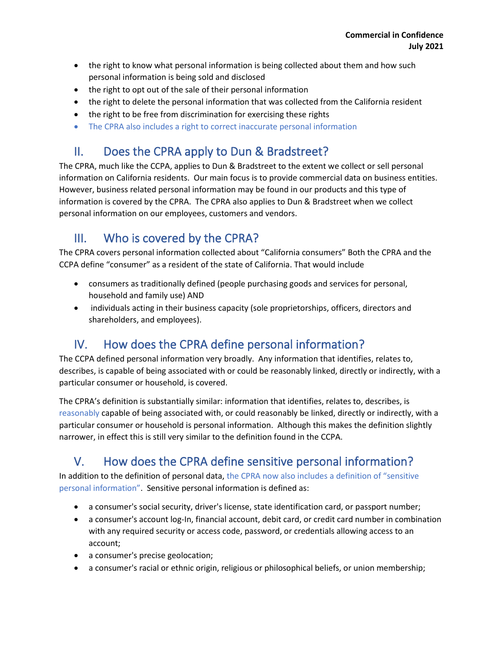- the right to know what personal information is being collected about them and how such personal information is being sold and disclosed
- the right to opt out of the sale of their personal information
- the right to delete the personal information that was collected from the California resident
- the right to be free from discrimination for exercising these rights
- The CPRA also includes a right to correct inaccurate personal information

## <span id="page-1-0"></span>II. Does the CPRA apply to Dun & Bradstreet?

The CPRA, much like the CCPA, applies to Dun & Bradstreet to the extent we collect or sell personal information on California residents. Our main focus is to provide commercial data on business entities. However, business related personal information may be found in our products and this type of information is covered by the CPRA. The CPRA also applies to Dun & Bradstreet when we collect personal information on our employees, customers and vendors.

## <span id="page-1-1"></span>III. Who is covered by the CPRA?

The CPRA covers personal information collected about "California consumers" Both the CPRA and the CCPA define "consumer" as a resident of the state of California. That would include

- consumers as traditionally defined (people purchasing goods and services for personal, household and family use) AND
- individuals acting in their business capacity (sole proprietorships, officers, directors and shareholders, and employees).

## <span id="page-1-2"></span>IV. How does the CPRA define personal information?

The CCPA defined personal information very broadly. Any information that identifies, relates to, describes, is capable of being associated with or could be reasonably linked, directly or indirectly, with a particular consumer or household, is covered.

The CPRA's definition is substantially similar: information that identifies, relates to, describes, is reasonably capable of being associated with, or could reasonably be linked, directly or indirectly, with a particular consumer or household is personal information. Although this makes the definition slightly narrower, in effect this is still very similar to the definition found in the CCPA.

## <span id="page-1-3"></span>V. How does the CPRA define sensitive personal information?

In addition to the definition of personal data, the CPRA now also includes a definition of "sensitive personal information". Sensitive personal information is defined as:

- a consumer's social security, driver's license, state identification card, or passport number;
- a consumer's account log-In, financial account, debit card, or credit card number in combination with any required security or access code, password, or credentials allowing access to an account;
- a consumer's precise geolocation;
- a consumer's racial or ethnic origin, religious or philosophical beliefs, or union membership;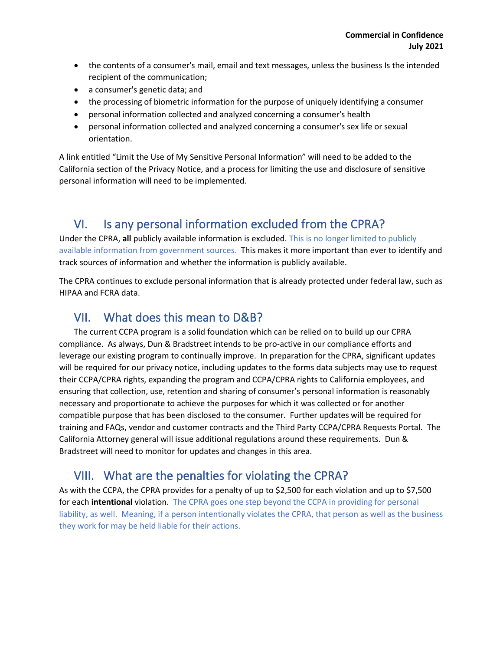- the contents of a consumer's mail, email and text messages, unless the business Is the intended recipient of the communication;
- a consumer's genetic data; and
- the processing of biometric information for the purpose of uniquely identifying a consumer
- personal information collected and analyzed concerning a consumer's health
- personal information collected and analyzed concerning a consumer's sex life or sexual orientation.

A link entitled "Limit the Use of My Sensitive Personal Information" will need to be added to the California section of the Privacy Notice, and a process for limiting the use and disclosure of sensitive personal information will need to be implemented.

### <span id="page-2-0"></span>VI. Is any personal information excluded from the CPRA?

Under the CPRA, **all** publicly available information is excluded. This is no longer limited to publicly available information from government sources. This makes it more important than ever to identify and track sources of information and whether the information is publicly available.

The CPRA continues to exclude personal information that is already protected under federal law, such as HIPAA and FCRA data.

#### <span id="page-2-1"></span>VII. What does this mean to D&B?

The current CCPA program is a solid foundation which can be relied on to build up our CPRA compliance. As always, Dun & Bradstreet intends to be pro-active in our compliance efforts and leverage our existing program to continually improve. In preparation for the CPRA, significant updates will be required for our privacy notice, including updates to the forms data subjects may use to request their CCPA/CPRA rights, expanding the program and CCPA/CPRA rights to California employees, and ensuring that collection, use, retention and sharing of consumer's personal information is reasonably necessary and proportionate to achieve the purposes for which it was collected or for another compatible purpose that has been disclosed to the consumer. Further updates will be required for training and FAQs, vendor and customer contracts and the Third Party CCPA/CPRA Requests Portal. The California Attorney general will issue additional regulations around these requirements. Dun & Bradstreet will need to monitor for updates and changes in this area.

## <span id="page-2-2"></span>VIII. What are the penalties for violating the CPRA?

As with the CCPA, the CPRA provides for a penalty of up to \$2,500 for each violation and up to \$7,500 for each **intentional** violation. The CPRA goes one step beyond the CCPA in providing for personal liability, as well. Meaning, if a person intentionally violates the CPRA, that person as well as the business they work for may be held liable for their actions.